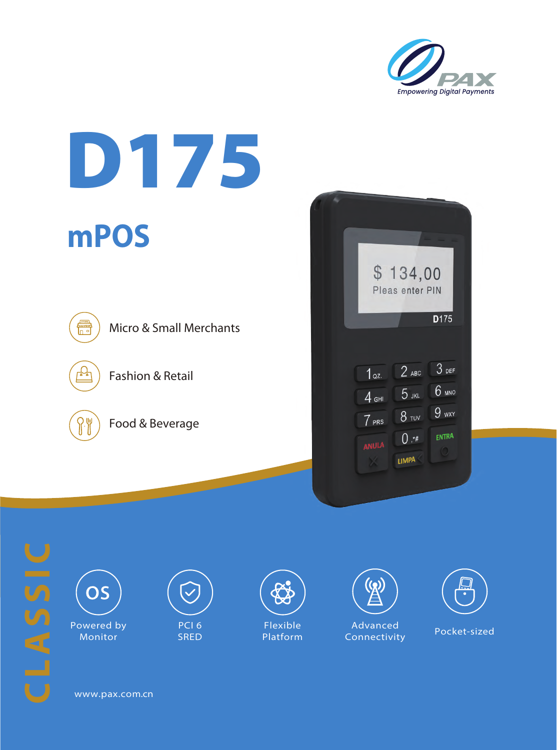





www.pax.com.cn